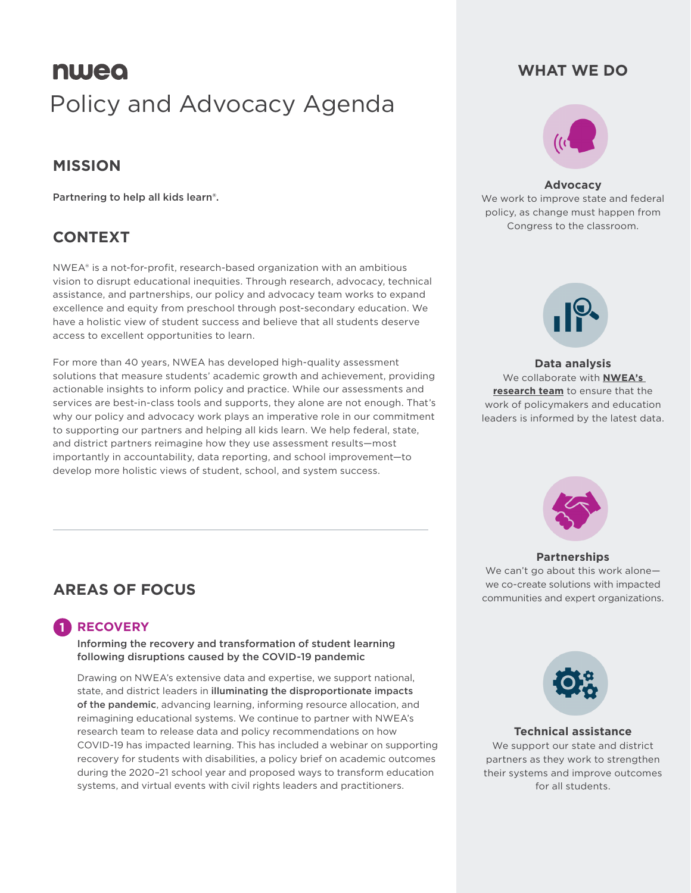# nwea Policy and Advocacy Agenda

# **MISSION**

Partnering to help all kids learn®.

# **CONTEXT**

NWEA® is a not-for-profit, research-based organization with an ambitious vision to disrupt educational inequities. Through research, advocacy, technical assistance, and partnerships, our policy and advocacy team works to expand excellence and equity from preschool through post-secondary education. We have a holistic view of student success and believe that all students deserve access to excellent opportunities to learn.

For more than 40 years, NWEA has developed high-quality assessment solutions that measure students' academic growth and achievement, providing actionable insights to inform policy and practice. While our assessments and services are best-in-class tools and supports, they alone are not enough. That's why our policy and advocacy work plays an imperative role in our commitment to supporting our partners and helping all kids learn. We help federal, state, and district partners reimagine how they use assessment results—most importantly in accountability, data reporting, and school improvement—to develop more holistic views of student, school, and system success.

# **WHAT WE DO**



### **Advocacy**

We work to improve state and federal policy, as change must happen from Congress to the classroom.



### **Data analysis** We collaborate with **[NWEA's](https://www.nwea.org/research/)**

**[research team](https://www.nwea.org/research/)** to ensure that the work of policymakers and education leaders is informed by the latest data.



### **Partnerships**

We can't go about this work alone we co-create solutions with impacted communities and expert organizations.

# **AREAS OF FOCUS**

# **RECOVERY 1**

Informing the recovery and transformation of student learning following disruptions caused by the COVID-19 pandemic

Drawing on NWEA's extensive data and expertise, we support national, state, and district leaders in illuminating the disproportionate impacts of the pandemic, advancing learning, informing resource allocation, and reimagining educational systems. We continue to partner with NWEA's research team to release data and policy recommendations on how COVID-19 has impacted learning. This has included a webinar on supporting recovery for students with disabilities, a policy brief on academic outcomes during the 2020–21 school year and proposed ways to transform education systems, and virtual events with civil rights leaders and practitioners.



### **Technical assistance**

We support our state and district partners as they work to strengthen their systems and improve outcomes for all students.